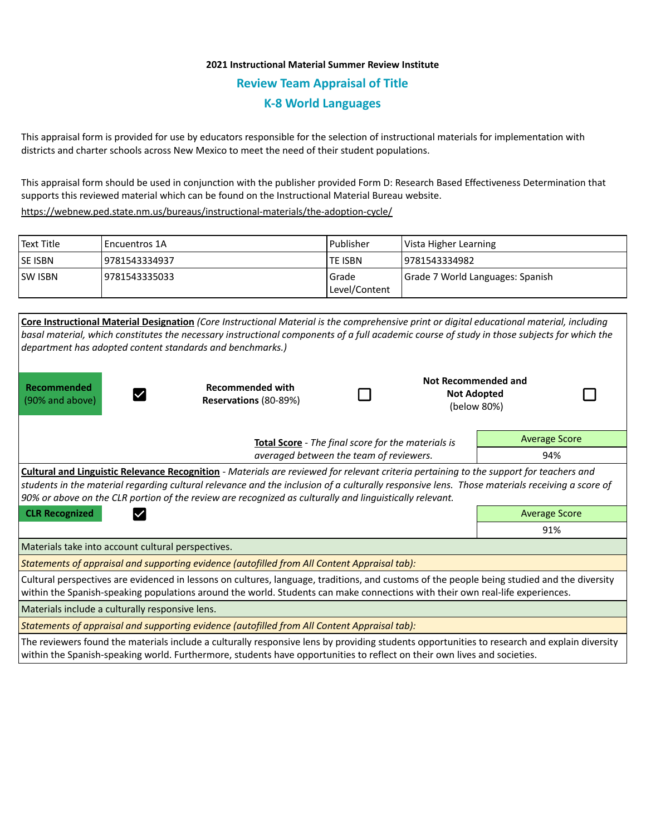# **2021 Instructional Material Summer Review Institute Review Team Appraisal of Title K-8 World Languages**

This appraisal form is provided for use by educators responsible for the selection of instructional materials for implementation with districts and charter schools across New Mexico to meet the need of their student populations.

This appraisal form should be used in conjunction with the publisher provided Form D: Research Based Effectiveness Determination that supports this reviewed material which can be found on the Instructional Material Bureau website.

<https://webnew.ped.state.nm.us/bureaus/instructional-materials/the-adoption-cycle/>

| Text Title     | l Encuentros 1A | l Publisher              | Vista Higher Learning            |
|----------------|-----------------|--------------------------|----------------------------------|
| <b>SE ISBN</b> | 9781543334937   | <b>TE ISBN</b>           | 19781543334982                   |
| <b>SW ISBN</b> | 9781543335033   | l Grade<br>Level/Content | Grade 7 World Languages: Spanish |

|                                                                                                                                                                                                                                                                                                                                                                                                            | Core Instructional Material Designation (Core Instructional Material is the comprehensive print or digital educational material, including<br>basal material, which constitutes the necessary instructional components of a full academic course of study in those subjects for which the<br>department has adopted content standards and benchmarks.) |                                                    |  |                                                                 |                      |  |  |  |
|------------------------------------------------------------------------------------------------------------------------------------------------------------------------------------------------------------------------------------------------------------------------------------------------------------------------------------------------------------------------------------------------------------|--------------------------------------------------------------------------------------------------------------------------------------------------------------------------------------------------------------------------------------------------------------------------------------------------------------------------------------------------------|----------------------------------------------------|--|-----------------------------------------------------------------|----------------------|--|--|--|
| Recommended<br>(90% and above)                                                                                                                                                                                                                                                                                                                                                                             | <b>Recommended with</b><br>Reservations (80-89%)                                                                                                                                                                                                                                                                                                       |                                                    |  | <b>Not Recommended and</b><br><b>Not Adopted</b><br>(below 80%) |                      |  |  |  |
|                                                                                                                                                                                                                                                                                                                                                                                                            |                                                                                                                                                                                                                                                                                                                                                        | Total Score - The final score for the materials is |  |                                                                 | <b>Average Score</b> |  |  |  |
|                                                                                                                                                                                                                                                                                                                                                                                                            | averaged between the team of reviewers.                                                                                                                                                                                                                                                                                                                |                                                    |  |                                                                 | 94%                  |  |  |  |
| <b>Cultural and Linguistic Relevance Recognition</b> - Materials are reviewed for relevant criteria pertaining to the support for teachers and<br>students in the material regarding cultural relevance and the inclusion of a culturally responsive lens. Those materials receiving a score of<br>90% or above on the CLR portion of the review are recognized as culturally and linguistically relevant. |                                                                                                                                                                                                                                                                                                                                                        |                                                    |  |                                                                 |                      |  |  |  |
| <b>CLR Recognized</b>                                                                                                                                                                                                                                                                                                                                                                                      |                                                                                                                                                                                                                                                                                                                                                        | <b>Average Score</b>                               |  |                                                                 |                      |  |  |  |
|                                                                                                                                                                                                                                                                                                                                                                                                            |                                                                                                                                                                                                                                                                                                                                                        |                                                    |  | 91%                                                             |                      |  |  |  |
| Materials take into account cultural perspectives.                                                                                                                                                                                                                                                                                                                                                         |                                                                                                                                                                                                                                                                                                                                                        |                                                    |  |                                                                 |                      |  |  |  |
| Statements of appraisal and supporting evidence (autofilled from All Content Appraisal tab):                                                                                                                                                                                                                                                                                                               |                                                                                                                                                                                                                                                                                                                                                        |                                                    |  |                                                                 |                      |  |  |  |
| Cultural perspectives are evidenced in lessons on cultures, language, traditions, and customs of the people being studied and the diversity<br>within the Spanish-speaking populations around the world. Students can make connections with their own real-life experiences.                                                                                                                               |                                                                                                                                                                                                                                                                                                                                                        |                                                    |  |                                                                 |                      |  |  |  |
| Materials include a culturally responsive lens.                                                                                                                                                                                                                                                                                                                                                            |                                                                                                                                                                                                                                                                                                                                                        |                                                    |  |                                                                 |                      |  |  |  |
| Statements of appraisal and supporting evidence (autofilled from All Content Appraisal tab):                                                                                                                                                                                                                                                                                                               |                                                                                                                                                                                                                                                                                                                                                        |                                                    |  |                                                                 |                      |  |  |  |
| The reviewers found the materials include a culturally responsive lens by providing students opportunities to research and explain diversity<br>within the Spanish-speaking world. Furthermore, students have opportunities to reflect on their own lives and societies.                                                                                                                                   |                                                                                                                                                                                                                                                                                                                                                        |                                                    |  |                                                                 |                      |  |  |  |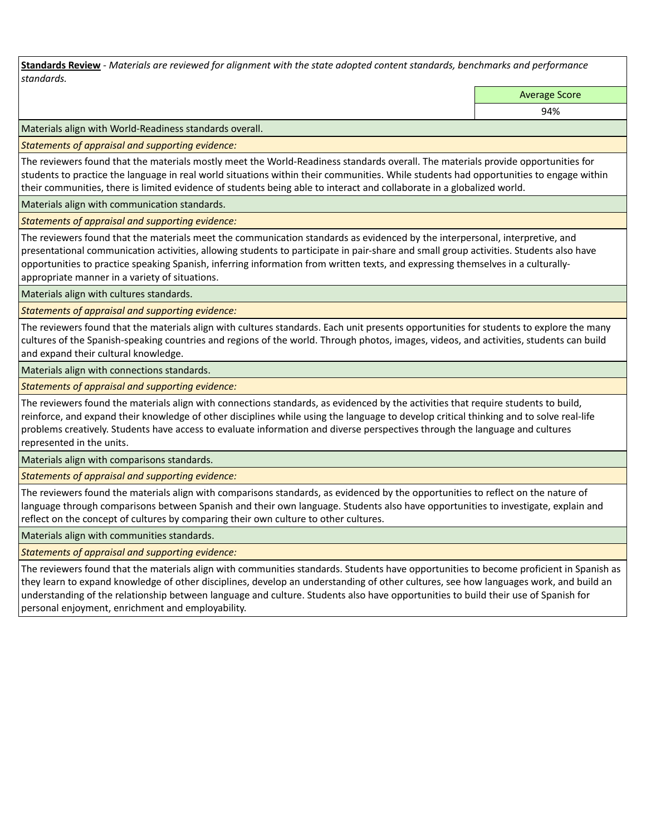**Standards Review** *- Materials are reviewed for alignment with the state adopted content standards, benchmarks and performance standards.*

Average Score

94%

Materials align with World-Readiness standards overall.

*Statements of appraisal and supporting evidence:* 

The reviewers found that the materials mostly meet the World-Readiness standards overall. The materials provide opportunities for students to practice the language in real world situations within their communities. While students had opportunities to engage within their communities, there is limited evidence of students being able to interact and collaborate in a globalized world.

Materials align with communication standards.

*Statements of appraisal and supporting evidence:* 

The reviewers found that the materials meet the communication standards as evidenced by the interpersonal, interpretive, and presentational communication activities, allowing students to participate in pair-share and small group activities. Students also have opportunities to practice speaking Spanish, inferring information from written texts, and expressing themselves in a culturallyappropriate manner in a variety of situations.

Materials align with cultures standards.

*Statements of appraisal and supporting evidence:* 

The reviewers found that the materials align with cultures standards. Each unit presents opportunities for students to explore the many cultures of the Spanish-speaking countries and regions of the world. Through photos, images, videos, and activities, students can build and expand their cultural knowledge.

Materials align with connections standards.

*Statements of appraisal and supporting evidence:* 

The reviewers found the materials align with connections standards, as evidenced by the activities that require students to build, reinforce, and expand their knowledge of other disciplines while using the language to develop critical thinking and to solve real-life problems creatively. Students have access to evaluate information and diverse perspectives through the language and cultures represented in the units.

Materials align with comparisons standards.

*Statements of appraisal and supporting evidence:* 

The reviewers found the materials align with comparisons standards, as evidenced by the opportunities to reflect on the nature of language through comparisons between Spanish and their own language. Students also have opportunities to investigate, explain and reflect on the concept of cultures by comparing their own culture to other cultures.

Materials align with communities standards.

*Statements of appraisal and supporting evidence:* 

The reviewers found that the materials align with communities standards. Students have opportunities to become proficient in Spanish as they learn to expand knowledge of other disciplines, develop an understanding of other cultures, see how languages work, and build an understanding of the relationship between language and culture. Students also have opportunities to build their use of Spanish for personal enjoyment, enrichment and employability.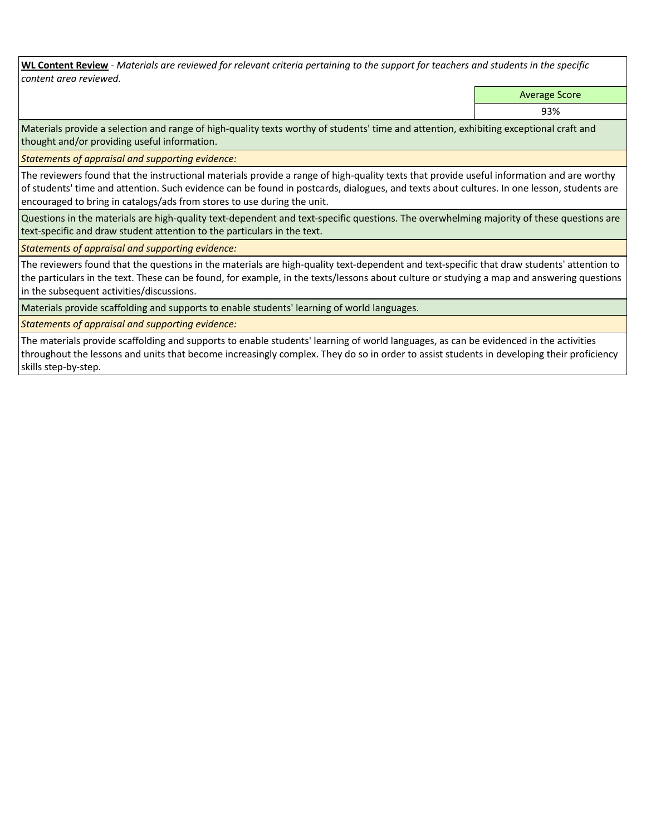**WL Content Review** *- Materials are reviewed for relevant criteria pertaining to the support for teachers and students in the specific content area reviewed.*

Average Score

93%

Materials provide a selection and range of high-quality texts worthy of students' time and attention, exhibiting exceptional craft and thought and/or providing useful information.

*Statements of appraisal and supporting evidence:* 

The reviewers found that the instructional materials provide a range of high-quality texts that provide useful information and are worthy of students' time and attention. Such evidence can be found in postcards, dialogues, and texts about cultures. In one lesson, students are encouraged to bring in catalogs/ads from stores to use during the unit.

Questions in the materials are high-quality text-dependent and text-specific questions. The overwhelming majority of these questions are text-specific and draw student attention to the particulars in the text.

*Statements of appraisal and supporting evidence:* 

The reviewers found that the questions in the materials are high-quality text-dependent and text-specific that draw students' attention to the particulars in the text. These can be found, for example, in the texts/lessons about culture or studying a map and answering questions in the subsequent activities/discussions.

Materials provide scaffolding and supports to enable students' learning of world languages.

*Statements of appraisal and supporting evidence:* 

The materials provide scaffolding and supports to enable students' learning of world languages, as can be evidenced in the activities throughout the lessons and units that become increasingly complex. They do so in order to assist students in developing their proficiency skills step-by-step.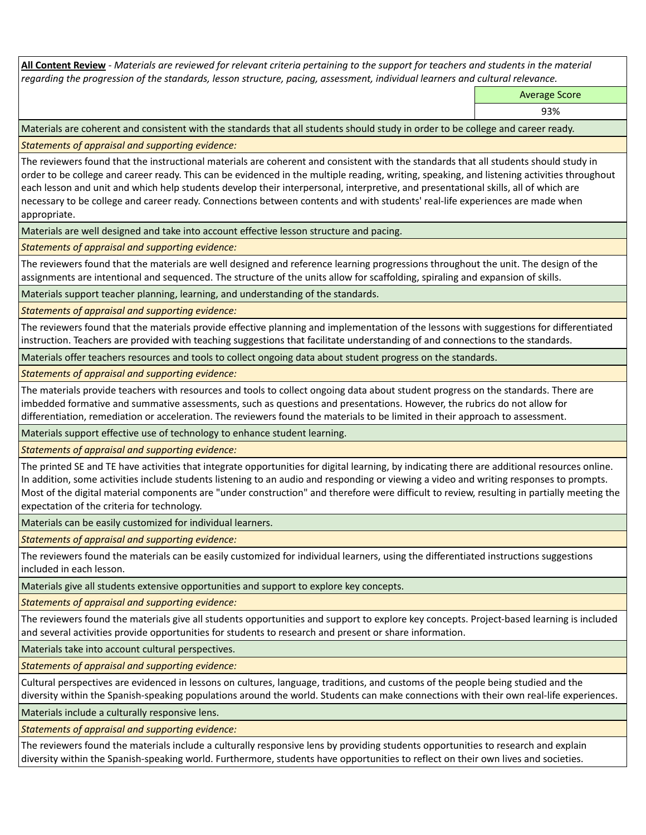**All Content Review** *- Materials are reviewed for relevant criteria pertaining to the support for teachers and students in the material regarding the progression of the standards, lesson structure, pacing, assessment, individual learners and cultural relevance.*

Average Score

93%

Materials are coherent and consistent with the standards that all students should study in order to be college and career ready.

*Statements of appraisal and supporting evidence:*

The reviewers found that the instructional materials are coherent and consistent with the standards that all students should study in order to be college and career ready. This can be evidenced in the multiple reading, writing, speaking, and listening activities throughout each lesson and unit and which help students develop their interpersonal, interpretive, and presentational skills, all of which are necessary to be college and career ready. Connections between contents and with students' real-life experiences are made when appropriate.

Materials are well designed and take into account effective lesson structure and pacing.

*Statements of appraisal and supporting evidence:*

The reviewers found that the materials are well designed and reference learning progressions throughout the unit. The design of the assignments are intentional and sequenced. The structure of the units allow for scaffolding, spiraling and expansion of skills.

Materials support teacher planning, learning, and understanding of the standards.

*Statements of appraisal and supporting evidence:*

The reviewers found that the materials provide effective planning and implementation of the lessons with suggestions for differentiated instruction. Teachers are provided with teaching suggestions that facilitate understanding of and connections to the standards.

Materials offer teachers resources and tools to collect ongoing data about student progress on the standards.

*Statements of appraisal and supporting evidence:*

The materials provide teachers with resources and tools to collect ongoing data about student progress on the standards. There are imbedded formative and summative assessments, such as questions and presentations. However, the rubrics do not allow for differentiation, remediation or acceleration. The reviewers found the materials to be limited in their approach to assessment.

Materials support effective use of technology to enhance student learning.

*Statements of appraisal and supporting evidence:*

The printed SE and TE have activities that integrate opportunities for digital learning, by indicating there are additional resources online. In addition, some activities include students listening to an audio and responding or viewing a video and writing responses to prompts. Most of the digital material components are "under construction" and therefore were difficult to review, resulting in partially meeting the expectation of the criteria for technology.

Materials can be easily customized for individual learners.

*Statements of appraisal and supporting evidence:* 

The reviewers found the materials can be easily customized for individual learners, using the differentiated instructions suggestions included in each lesson.

Materials give all students extensive opportunities and support to explore key concepts.

*Statements of appraisal and supporting evidence:*

The reviewers found the materials give all students opportunities and support to explore key concepts. Project-based learning is included and several activities provide opportunities for students to research and present or share information.

Materials take into account cultural perspectives.

*Statements of appraisal and supporting evidence:*

Cultural perspectives are evidenced in lessons on cultures, language, traditions, and customs of the people being studied and the diversity within the Spanish-speaking populations around the world. Students can make connections with their own real-life experiences.

Materials include a culturally responsive lens.

*Statements of appraisal and supporting evidence:*

The reviewers found the materials include a culturally responsive lens by providing students opportunities to research and explain diversity within the Spanish-speaking world. Furthermore, students have opportunities to reflect on their own lives and societies.